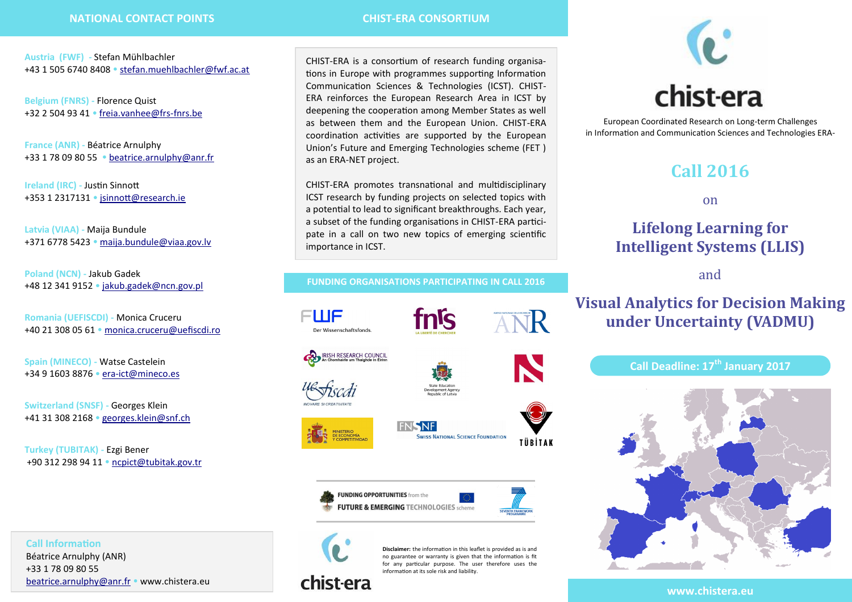**Austria (FWF)** *-* Stefan Mühlbachler +43 1 505 6740 8408 [stefan.muehlbachler@fwf.ac.at](mailto:stefan.muehlbachler@fwf.ac.at)

**Belgium (FNRS) -** Florence Quist +32 2 504 93 41 [freia.vanhee@frs](mailto:freia.vanhee@frs-fnrs.be)-fnrs.be

**France (ANR) -** Béatrice Arnulphy +33 1 78 09 80 55 [beatrice.arnulphy@anr.fr](mailto:beatrice.arnulphy@anr.fr)

**Ireland (IRC) -** Justin Sinnott +353 1 2317131 · isinnott@research.ie

**Latvia (VIAA) -** Maija Bundule +371 6778 5423 [maija.bundule@viaa.gov.lv](mailto:maija.bundule@viaa.gov.lv)

**Poland (NCN) -** Jakub Gadek +48 12 341 9152 · [jakub.gadek@ncn.gov.pl](mailto:jakub.gadek@ncn.gov.pl)

**Romania (UEFISCDI) -** Monica Cruceru +40 21 308 05 61 [monica.cruceru@uefiscdi.ro](mailto:monica.cruceru@uefiscdi.ro)

**Spain (MINECO) -** Watse Castelein +34 9 1603 8876 era-[ict@mineco.es](mailto:era-ict@mineco.es)

**Switzerland (SNSF) -** Georges Klein +41 31 308 2168 [georges.klein@snf.ch](mailto:georges.klein@snf.ch)

**Call Information** Béatrice Arnulphy (ANR) +33 1 78 09 80 55

**Turkey (TUBITAK) -** Ezgi Bener +90 312 298 94 11 [ncpict@tubitak.gov.tr](mailto:ncpict@tubitak.gov.tr)

[b](mailto:beatrice.arnulphy@anr.fr)[eatrice.arnulphy@anr.fr](mailto:Beatrice.Arnulphy@anr.fr?subject=[CHIST-ERA]%20Call%202016%20:) • www.chistera.eu

CHIST-ERA is a consortium of research funding organisations in Europe with programmes supporting Information Communication Sciences & Technologies (ICST). CHIST-ERA reinforces the European Research Area in ICST by deepening the cooperation among Member States as well as between them and the European Union. CHIST-ERA coordination activities are supported by the European Union's Future and Emerging Technologies scheme (FET ) as an ERA-NET project.

CHIST-ERA promotes transnational and multidisciplinary ICST research by funding projects on selected topics with a potential to lead to significant breakthroughs. Each year, a subset of the funding organisations in CHIST-ERA participate in a call on two new topics of emerging scientific importance in ICST.

#### **FUNDING ORGANISATIONS PARTICIPATING IN CALL 2016**

nls









**FNSNF SWISS NATIONAL SCIENCE FOUNDATION** TÜBİTAK





ANR



**Disclaimer:** the information in this leaflet is provided as is and no guarantee or warranty is given that the information is fit for any particular purpose. The user therefore uses the information at its sole risk and liability.



**www.chistera.eu**



European Coordinated Research on Long-term Challenges in Information and Communication Sciences and Technologies ERA-

# **Call 2016**

on

# **Lifelong Learning for Intelligent Systems (LLIS)**

and

# **Visual Analytics for Decision Making under Uncertainty (VADMU)**

## **Call Deadline: 17th January 2017**